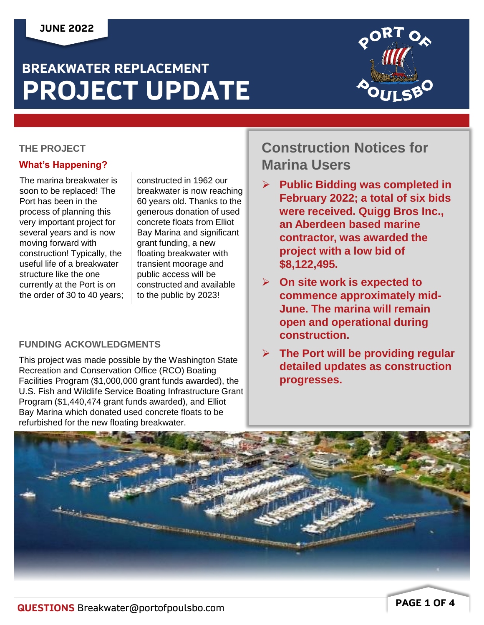# **BREAKWATER REPLACEMENT PROJECT UPDATE**



### **THE PROJECT**

### **What's Happening?**

The marina breakwater is soon to be replaced! The Port has been in the process of planning this very important project for several years and is now moving forward with construction! Typically, the useful life of a breakwater structure like the one currently at the Port is on the order of 30 to 40 years;

constructed in 1962 our breakwater is now reaching 60 years old. Thanks to the generous donation of used concrete floats from Elliot Bay Marina and significant grant funding, a new floating breakwater with transient moorage and public access will be constructed and available to the public by 2023!

### **FUNDING ACKOWLEDGMENTS**

This project was made possible by the Washington State Recreation and Conservation Office (RCO) Boating Facilities Program (\$1,000,000 grant funds awarded), the U.S. Fish and Wildlife Service Boating Infrastructure Grant Program (\$1,440,474 grant funds awarded), and Elliot Bay Marina which donated used concrete floats to be refurbished for the new floating breakwater.

## **Construction Notices for Marina Users**

- ➢ **Public Bidding was completed in February 2022; a total of six bids were received. Quigg Bros Inc., an Aberdeen based marine contractor, was awarded the project with a low bid of \$8,122,495.**
- ➢ **On site work is expected to commence approximately mid-June. The marina will remain open and operational during construction.**
- ➢ **The Port will be providing regular detailed updates as construction progresses.**

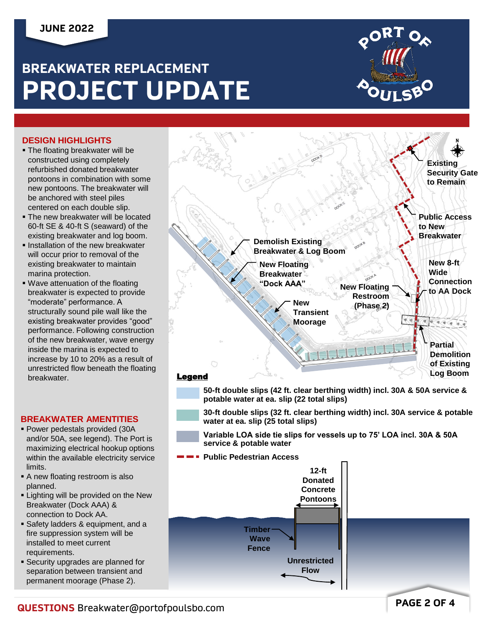### **JUNE 2022**

# **BREAKWATER REPLACEMENT PROJECT UPDATE**



#### **DESIGN HIGHLIGHTS**

- **The floating breakwater will be** constructed using completely refurbished donated breakwater pontoons in combination with some new pontoons. The breakwater will be anchored with steel piles centered on each double slip.
- **The new breakwater will be located** 60-ft SE & 40-ft S (seaward) of the existing breakwater and log boom.
- **.** Installation of the new breakwater will occur prior to removal of the existing breakwater to maintain marina protection.
- **Wave attenuation of the floating** breakwater is expected to provide "moderate" performance. A structurally sound pile wall like the existing breakwater provides "good" performance. Following construction of the new breakwater, wave energy inside the marina is expected to increase by 10 to 20% as a result of unrestricted flow beneath the floating breakwater.

#### **BREAKWATER AMENTITIES**

- Power pedestals provided (30A and/or 50A, see legend). The Port is maximizing electrical hookup options within the available electricity service limits.
- A new floating restroom is also planned.
- **Example 1** Lighting will be provided on the New Breakwater (Dock AAA) & connection to Dock AA.
- **E** Safety ladders & equipment, and a fire suppression system will be installed to meet current requirements.
- **Execurity upgrades are planned for** separation between transient and permanent moorage (Phase 2).



**Flow**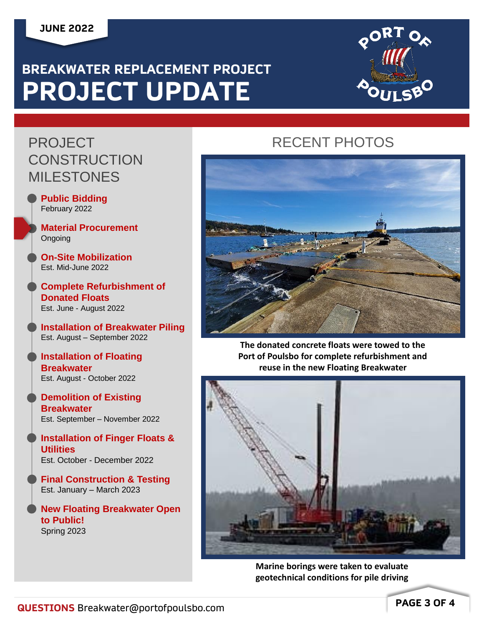### **JUNE 2022**

# **BREAKWATER REPLACEMENT PROJECT PROJECT UPDATE**



## PROJECT **CONSTRUCTION** MILESTONES

- **Public Bidding** February 2022
- **Material Procurement Ongoing**

**On-Site Mobilization** Est. Mid-June 2022

**Complete Refurbishment of Donated Floats** Est. June - August 2022

**Installation of Breakwater Piling** Est. August – September 2022

**Installation of Floating Breakwater** Est. August - October 2022

**Demolition of Existing Breakwater** Est. September – November 2022

**Installation of Finger Floats & Utilities** Est. October - December 2022

**Final Construction & Testing** Est. January – March 2023

**New Floating Breakwater Open to Public!** Spring 2023

## RECENT PHOTOS



**The donated concrete floats were towed to the Port of Poulsbo for complete refurbishment and reuse in the new Floating Breakwater**



**Marine borings were taken to evaluate geotechnical conditions for pile driving**